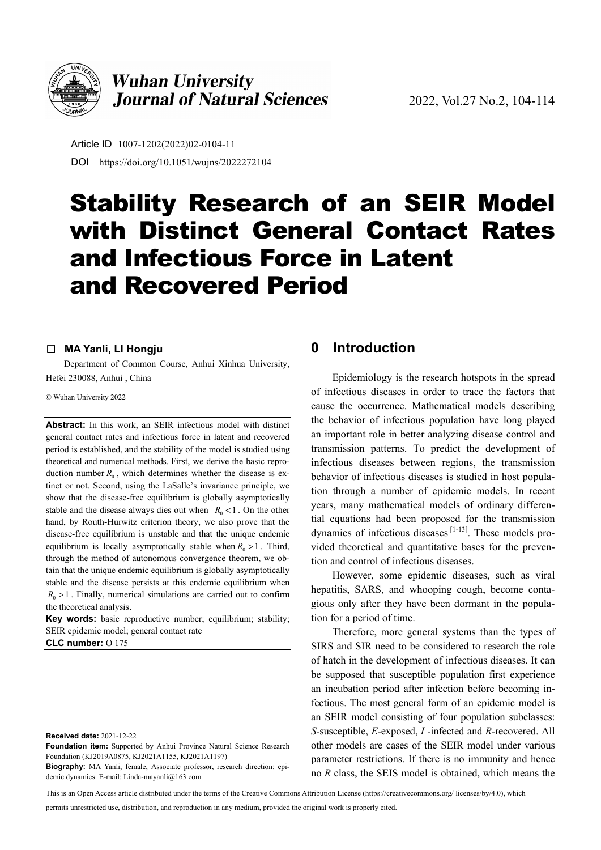

## **Wuhan University Journal of Natural Sciences**

Article ID 1007-1202(2022)02-0104-11 DOI https://doi.org/10.1051/wujns/2022272104

# Stability Research of an SEIR Model with Distinct General Contact Rates and Infectious Force in Latent and Recovered Period

#### □ **MA Yanli, LI Hongju**

Department of Common Course, Anhui Xinhua University, Hefei 230088, Anhui , China

© Wuhan University 2022

**Abstract:** In this work, an SEIR infectious model with distinct general contact rates and infectious force in latent and recovered period is established, and the stability of the model is studied using theoretical and numerical methods. First, we derive the basic reproduction number  $R_0$ , which determines whether the disease is extinct or not. Second, using the LaSalle's invariance principle, we show that the disease-free equilibrium is globally asymptotically stable and the disease always dies out when  $R_0 < 1$ . On the other hand, by Routh-Hurwitz criterion theory, we also prove that the disease-free equilibrium is unstable and that the unique endemic equilibrium is locally asymptotically stable when  $R_0 > 1$ . Third, through the method of autonomous convergence theorem, we obtain that the unique endemic equilibrium is globally asymptotically stable and the disease persists at this endemic equilibrium when  $R_0 > 1$ . Finally, numerical simulations are carried out to confirm the theoretical analysis.

**Key words:** basic reproductive number; equilibrium; stability; SEIR epidemic model; general contact rate

**CLC number:** O 175

**Received date:** 2021-12-22

**Foundation item:** Supported by Anhui Province Natural Science Research Foundation (KJ2019A0875, KJ2021A1155, KJ2021A1197)

**Biography:** MA Yanli, female, Associate professor, research direction: epidemic dynamics. E-mail: Linda-mayanli@163.com

#### **0 Introduction**

Epidemiology is the research hotspots in the spread of infectious diseases in order to trace the factors that cause the occurrence. Mathematical models describing the behavior of infectious population have long played an important role in better analyzing disease control and transmission patterns. To predict the development of infectious diseases between regions, the transmission behavior of infectious diseases is studied in host population through a number of epidemic models. In recent years, many mathematical models of ordinary differential equations had been proposed for the transmission dynamics of infectious diseases  $[1-13]$ . These models provided theoretical and quantitative bases for the prevention and control of infectious diseases.

However, some epidemic diseases, such as viral hepatitis, SARS, and whooping cough, become contagious only after they have been dormant in the population for a period of time.

Therefore, more general systems than the types of SIRS and SIR need to be considered to research the role of hatch in the development of infectious diseases. It can be supposed that susceptible population first experience an incubation period after infection before becoming infectious. The most general form of an epidemic model is an SEIR model consisting of four population subclasses: *S*-susceptible, *E*-exposed, *I* -infected and *R*-recovered. All other models are cases of the SEIR model under various parameter restrictions. If there is no immunity and hence no *R* class, the SEIS model is obtained, which means the

This is an Open Access article distributed under the terms of the Creative Commons Attribution License (https://creativecommons.org/ licenses/by/4.0), which

permits unrestricted use, distribution, and reproduction in any medium, provided the original work is properly cited.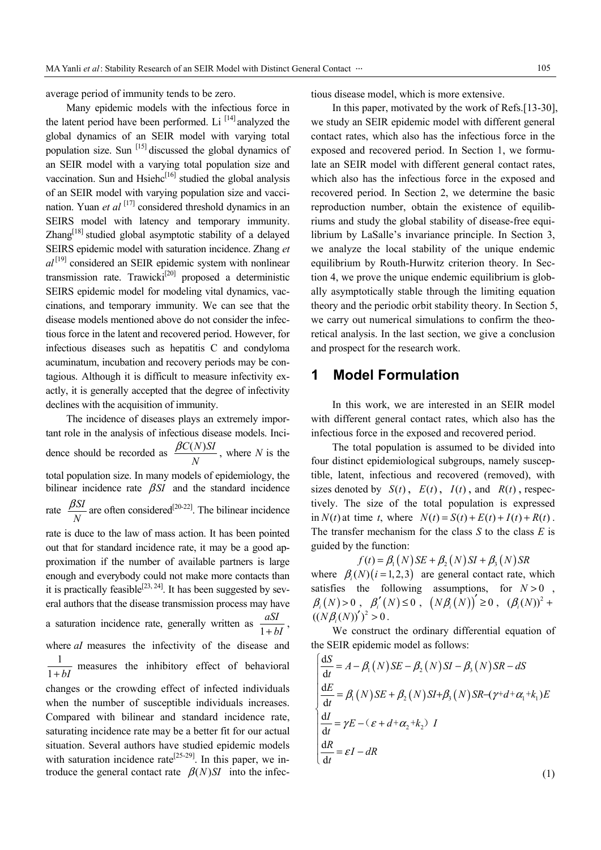average period of immunity tends to be zero.

Many epidemic models with the infectious force in the latent period have been performed. Li  $^{[14]}$  analyzed the global dynamics of an SEIR model with varying total population size. Sun  $^{[15]}$  discussed the global dynamics of an SEIR model with a varying total population size and vaccination. Sun and Hsiehc<sup>[16]</sup> studied the global analysis of an SEIR model with varying population size and vaccination. Yuan *et al* [17] considered threshold dynamics in an SEIRS model with latency and temporary immunity.  $Zhang<sup>[18]</sup> studied global asymptotic stability of a delayed$ SEIRS epidemic model with saturation incidence. Zhang *et*   $al^{[19]}$  considered an SEIR epidemic system with nonlinear transmission rate. Trawicki<sup>[20]</sup> proposed a deterministic SEIRS epidemic model for modeling vital dynamics, vaccinations, and temporary immunity. We can see that the disease models mentioned above do not consider the infectious force in the latent and recovered period. However, for infectious diseases such as hepatitis C and condyloma acuminatum, incubation and recovery periods may be contagious. Although it is difficult to measure infectivity exactly, it is generally accepted that the degree of infectivity declines with the acquisition of immunity.

The incidence of diseases plays an extremely important role in the analysis of infectious disease models. Incidence should be recorded as  $\frac{\beta C(N) S I}{N}$ *N*  $\frac{\beta C(N) S I}{N}$ , where *N* is the total population size. In many models of epidemiology, the bilinear incidence rate  $\beta SI$  and the standard incidence rate  $\frac{\beta SI}{\gamma}$ *N*  $\frac{\beta SI}{\gamma}$  are often considered<sup>[20-22]</sup>. The bilinear incidence rate is duce to the law of mass action. It has been pointed out that for standard incidence rate, it may be a good approximation if the number of available partners is large enough and everybody could not make more contacts than it is practically feasible<sup>[23, 24]</sup>. It has been suggested by several authors that the disease transmission process may have a saturation incidence rate, generally written as  $\frac{aSI}{1 + bI}$ , where *aI* measures the infectivity of the disease and  $\frac{1}{1 + bI}$  measures the inhibitory effect of behavioral changes or the crowding effect of infected individuals when the number of susceptible individuals increases. Compared with bilinear and standard incidence rate, saturating incidence rate may be a better fit for our actual situation. Several authors have studied epidemic models with saturation incidence rate<sup>[25-29]</sup>. In this paper, we in-

troduce the general contact rate  $\beta(N)SI$  into the infec-

tious disease model, which is more extensive.

In this paper, motivated by the work of Refs.[13-30], we study an SEIR epidemic model with different general contact rates, which also has the infectious force in the exposed and recovered period. In Section 1, we formulate an SEIR model with different general contact rates, which also has the infectious force in the exposed and recovered period. In Section 2, we determine the basic reproduction number, obtain the existence of equilibriums and study the global stability of disease-free equilibrium by LaSalle's invariance principle. In Section 3, we analyze the local stability of the unique endemic equilibrium by Routh-Hurwitz criterion theory. In Section 4, we prove the unique endemic equilibrium is globally asymptotically stable through the limiting equation theory and the periodic orbit stability theory. In Section 5, we carry out numerical simulations to confirm the theoretical analysis. In the last section, we give a conclusion and prospect for the research work.

#### **1 Model Formulation**

In this work, we are interested in an SEIR model with different general contact rates, which also has the infectious force in the exposed and recovered period.

The total population is assumed to be divided into four distinct epidemiological subgroups, namely susceptible, latent, infectious and recovered (removed), with sizes denoted by  $S(t)$ ,  $E(t)$ ,  $I(t)$ , and  $R(t)$ , respectively. The size of the total population is expressed in  $N(t)$  at time *t*, where  $N(t) = S(t) + E(t) + I(t) + R(t)$ . The transfer mechanism for the class *S* to the class *E* is guided by the function:

 $f(t) = \beta_1(N) SE + \beta_2(N) SI + \beta_3(N) SR$ where  $\beta_i(N)$  ( $i = 1, 2, 3$ ) are general contact rate, which satisfies the following assumptions, for  $N > 0$ ,  $\beta_i(N) > 0$ ,  $\beta'_i(N) \le 0$ ,  $(N\beta_i(N))' \ge 0$ ,  $(\beta_i(N))^2 +$  $((N \beta_{i}(N))')^{2} > 0$ .

We construct the ordinary differential equation of the SEIR epidemic model as follows:

$$
\begin{cases}\n\frac{dS}{dt} = A - \beta_1(N)SE - \beta_2(N)SI - \beta_3(N)SR - dS \\
\frac{dE}{dt} = \beta_1(N)SE + \beta_2(N)SI + \beta_3(N)SR - (\gamma + d + \alpha_1 + k_1)E \\
\frac{dI}{dt} = \gamma E - (\varepsilon + d + \alpha_2 + k_2)I \\
\frac{dR}{dt} = \varepsilon I - dR\n\end{cases}
$$

(1)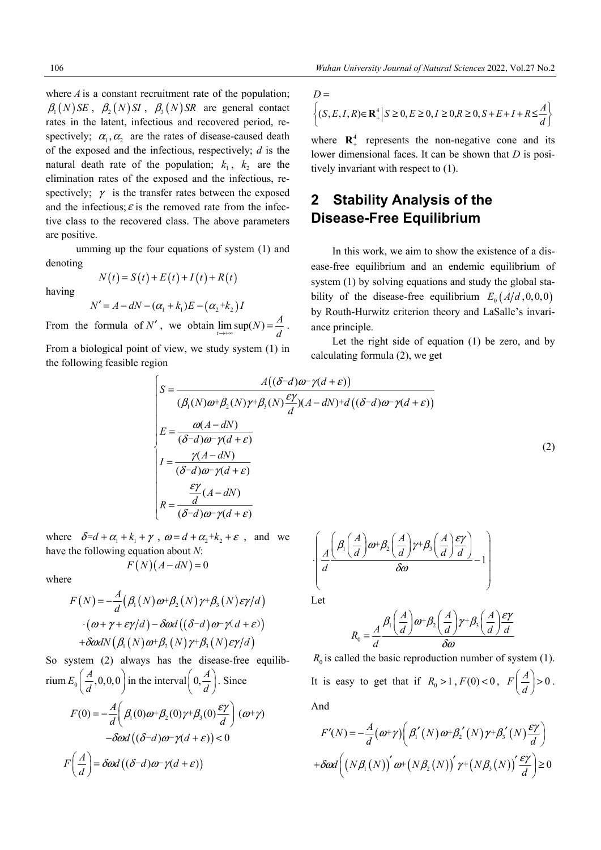where  $\vec{A}$  is a constant recruitment rate of the population;  $\beta_1(N)$  *SE*,  $\beta_2(N)$  *SI*,  $\beta_3(N)$  *SR* are general contact rates in the latent, infectious and recovered period, respectively;  $\alpha_1, \alpha_2$  are the rates of disease-caused death of the exposed and the infectious, respectively; *d* is the natural death rate of the population;  $k_1$ ,  $k_2$  are the elimination rates of the exposed and the infectious, respectively;  $\gamma$  is the transfer rates between the exposed and the infectious;  $\varepsilon$  is the removed rate from the infective class to the recovered class. The above parameters are positive.

umming up the four equations of system (1) and denoting  $N(t) = S(t) + E(t) + I(t) + R(t)$ 

having

$$
N' = A - dN - (\alpha_1 + k_1)E - (\alpha_2 + k_2)I
$$

From the formula of N', we obtain  $\lim_{t \to \infty} \sup(N) = \frac{A}{d}$ .

From a biological point of view, we study system (1) in the following feasible region

$$
D = \left\{ (S, E, I, R) \in \mathbf{R}_{+}^{4} \middle| S \ge 0, E \ge 0, I \ge 0, R \ge 0, S + E + I + R \le \frac{A}{d} \right\}
$$

where  $\mathbb{R}^4$  represents the non-negative cone and its lower dimensional faces. It can be shown that *D* is positively invariant with respect to (1).

## **2 Stability Analysis of the Disease-Free Equilibrium**

In this work, we aim to show the existence of a disease-free equilibrium and an endemic equilibrium of system (1) by solving equations and study the global stability of the disease-free equilibrium  $E_0(A/d, 0, 0, 0)$ by Routh-Hurwitz criterion theory and LaSalle's invariance principle.

Let the right side of equation (1) be zero, and by calculating formula (2), we get

$$
\begin{cases}\nS = \frac{A((\delta - d)\omega - \gamma(d + \varepsilon))}{(\beta_1(N)\omega + \beta_2(N)\gamma + \beta_3(N)\frac{\varepsilon\gamma}{d})(A - dN) + d((\delta - d)\omega - \gamma(d + \varepsilon))} \\
E = \frac{\omega(A - dN)}{(\delta - d)\omega - \gamma(d + \varepsilon)} \\
I = \frac{\gamma(A - dN)}{(\delta - d)\omega - \gamma(d + \varepsilon)} \\
R = \frac{\varepsilon\gamma}{d}(A - dN) \\
R = \frac{d}{(\delta - d)\omega - \gamma(d + \varepsilon)}\n\end{cases}
$$
\n(2)

where  $\delta = d + \alpha_1 + k_1 + \gamma$ ,  $\omega = d + \alpha_2 + k_2 + \varepsilon$ , and we have the following equation about *N*:  $F(N)(A-dN) = 0$ 

where

$$
F(N) = -\frac{A}{d} (\beta_1(N) \omega + \beta_2(N) \gamma + \beta_3(N) \epsilon \gamma/d)
$$

$$
\cdot (\omega + \gamma + \epsilon \gamma/d) - \delta \omega d ((\delta - d) \omega - \gamma d + \epsilon)
$$

$$
+ \delta \omega d N (\beta_1(N) \omega + \beta_2(N) \gamma + \beta_3(N) \epsilon \gamma/d)
$$

So system (2) always has the disease-free equilibrium  $E_0\left(\frac{A}{d}, 0, 0, 0\right)$  in the interval  $\left(0, \frac{A}{d}\right)$ . Since  $F(0) = -\frac{A}{d} \left( \beta_1(0)\omega + \beta_2(0)\gamma + \beta_3(0)\frac{\varepsilon \gamma}{d} \right) (\omega + \gamma)$  $-\delta \omega d ((\delta - d) \omega - \gamma (d + \varepsilon)) < 0$  $F\left(\frac{A}{d}\right) = \delta \omega d\left((\delta - d)\omega - \gamma(d + \varepsilon)\right)$ 

$$
\left(\frac{A}{d}\left(\frac{\beta_1\left(\frac{A}{d}\right)\omega+\beta_2\left(\frac{A}{d}\right)\gamma+\beta_3\left(\frac{A}{d}\right)\frac{\epsilon\gamma}{d}}{\delta\omega}-1\right)\right)
$$

Let

$$
R_0 = \frac{A}{d} \frac{\beta_1 \left(\frac{A}{d}\right) \omega + \beta_2 \left(\frac{A}{d}\right) \gamma + \beta_3 \left(\frac{A}{d}\right) \frac{\epsilon \gamma}{d}}{\delta \omega}
$$

 $R_0$  is called the basic reproduction number of system (1). It is easy to get that if  $R_0 > 1$ ,  $F(0) < 0$ ,  $F\left(\frac{A}{d}\right) > 0$ . And

$$
F'(N) = -\frac{A}{d}(\omega + \gamma) \left( \beta_1'(N) \omega + \beta_2'(N) \gamma + \beta_3'(N) \frac{\epsilon \gamma}{d} \right)
$$

$$
+ \delta \omega d \left( \left( N \beta_1(N) \right)' \omega + \left( N \beta_2(N) \right)' \gamma + \left( N \beta_3(N) \right)' \frac{\epsilon \gamma}{d} \right) \ge 0
$$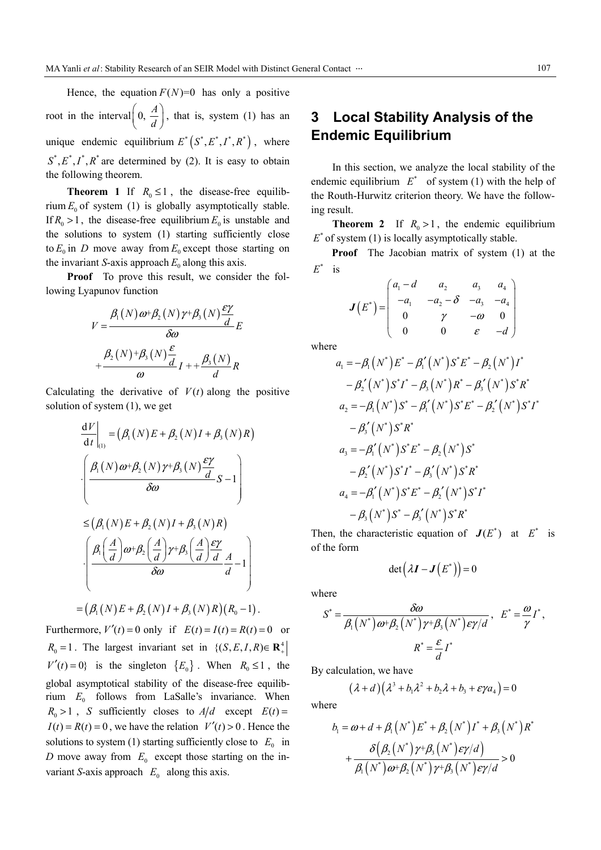Hence, the equation  $F(N)=0$  has only a positive root in the interval  $\left(0, \frac{A}{A}\right)$  $\left(0, \frac{A}{d}\right)$ , that is, system (1) has an unique endemic equilibrium  $E^*(S^*, E^*, I^*, R^*)$ , where  $S^*, E^*, I^*, R^*$  are determined by (2). It is easy to obtain the following theorem.

**Theorem 1** If  $R_0 \le 1$ , the disease-free equilibrium  $E_0$  of system (1) is globally asymptotically stable. If  $R_0 > 1$ , the disease-free equilibrium  $E_0$  is unstable and the solutions to system (1) starting sufficiently close to  $E_0$  in D move away from  $E_0$  except those starting on the invariant *S*-axis approach  $E_0$  along this axis.

**Proof** To prove this result, we consider the following Lyapunov function

$$
V = \frac{\beta_1(N)\omega + \beta_2(N)\gamma + \beta_3(N)\frac{\epsilon\gamma}{d}}{\delta\omega}E
$$

$$
+\frac{\beta_2(N) + \beta_3(N)\frac{\epsilon}{d}}{\omega}I + \frac{\beta_3(N)}{d}R
$$

Calculating the derivative of  $V(t)$  along the positive solution of system (1), we get

$$
\frac{dV}{dt}\Big|_{(1)} = (\beta_1(N)E + \beta_2(N)I + \beta_3(N)R)
$$

$$
\cdot \left(\frac{\beta_1(N)\omega + \beta_2(N)\gamma + \beta_3(N)\frac{\epsilon\gamma}{d}}{\delta\omega}S - 1\right)
$$

$$
\leq (\beta_1(N)E + \beta_2(N)I + \beta_3(N)R)
$$

$$
\cdot \left(\frac{\beta_1(\frac{A}{d})\omega + \beta_2(\frac{A}{d})\gamma + \beta_3(\frac{A}{d})\frac{\epsilon\gamma}{d}}{\delta\omega}\frac{A}{d} - 1\right)
$$

$$
= (\beta_1(N)E + \beta_2(N)I + \beta_3(N)R)(R_0 - 1).
$$

Furthermore,  $V'(t) = 0$  only if  $E(t) = I(t) = R(t) = 0$  or  $R_0 = 1$ . The largest invariant set in  $\{(S, E, I, R) \in \mathbb{R}^4_+\}$  $V'(t) = 0$ } is the singleton  ${E_0}$ . When  $R_0 \le 1$ , the global asymptotical stability of the disease-free equilibrium  $E_0$  follows from LaSalle's invariance. When  $R_0 > 1$ , *S* sufficiently closes to  $A/d$  except  $E(t) =$  $I(t) = R(t) = 0$ , we have the relation  $V'(t) > 0$ . Hence the solutions to system (1) starting sufficiently close to  $E_0$  in *D* move away from  $E_0$  except those starting on the invariant *S*-axis approach  $E_0$  along this axis.

## **3 Local Stability Analysis of the Endemic Equilibrium**

In this section, we analyze the local stability of the endemic equilibrium  $E^*$  of system (1) with the help of the Routh-Hurwitz criterion theory. We have the following result.

**Theorem 2** If  $R_0 > 1$ , the endemic equilibrium  $E^*$  of system (1) is locally asymptotically stable.

**Proof** The Jacobian matrix of system (1) at the  $E^*$  is

$$
\boldsymbol{J}(E^*) = \begin{pmatrix} a_1 - d & a_2 & a_3 & a_4 \\ -a_1 & -a_2 - \delta & -a_3 & -a_4 \\ 0 & \gamma & -\omega & 0 \\ 0 & 0 & \varepsilon & -d \end{pmatrix}
$$

where

$$
a_1 = -\beta_1 (N^*) E^* - \beta_1' (N^*) S^* E^* - \beta_2 (N^*) I^*
$$
  
\n
$$
- \beta_2' (N^*) S^* I^* - \beta_3 (N^*) R^* - \beta_3' (N^*) S^* R^*
$$
  
\n
$$
a_2 = -\beta_1 (N^*) S^* - \beta_1' (N^*) S^* E^* - \beta_2' (N^*) S^* I^*
$$
  
\n
$$
- \beta_3' (N^*) S^* R^*
$$
  
\n
$$
a_3 = -\beta_1' (N^*) S^* E^* - \beta_2 (N^*) S^* R^*
$$
  
\n
$$
a_4 = -\beta_1' (N^*) S^* E^* - \beta_2' (N^*) S^* I^*
$$
  
\n
$$
- \beta_3 (N^*) S^* - \beta_3' (N^*) S^* R^*
$$

Then, the characteristic equation of  $J(E^*)$  at  $E^*$  is of the form

$$
\det(\lambda \mathbf{I} - \mathbf{J}(E^*)) = 0
$$

where

$$
S^* = \frac{\delta \omega}{\beta_1 (N^*) \omega + \beta_2 (N^*) \gamma + \beta_3 (N^*) \epsilon \gamma / d}, \quad E^* = \frac{\omega}{\gamma} I^*,
$$

$$
R^* = \frac{\epsilon}{d} I^*
$$

By calculation, we have

$$
(\lambda + d)(\lambda^3 + b_1\lambda^2 + b_2\lambda + b_3 + \varepsilon\gamma a_4) = 0
$$

where

$$
b_1 = \omega + d + \beta_1 (N^*) E^* + \beta_2 (N^*) I^* + \beta_3 (N^*) R^*
$$
  
+ 
$$
\frac{\delta(\beta_2 (N^*) \gamma + \beta_3 (N^*) \epsilon \gamma / d)}{\beta_1 (N^*) \omega + \beta_2 (N^*) \gamma + \beta_3 (N^*) \epsilon \gamma / d} > 0
$$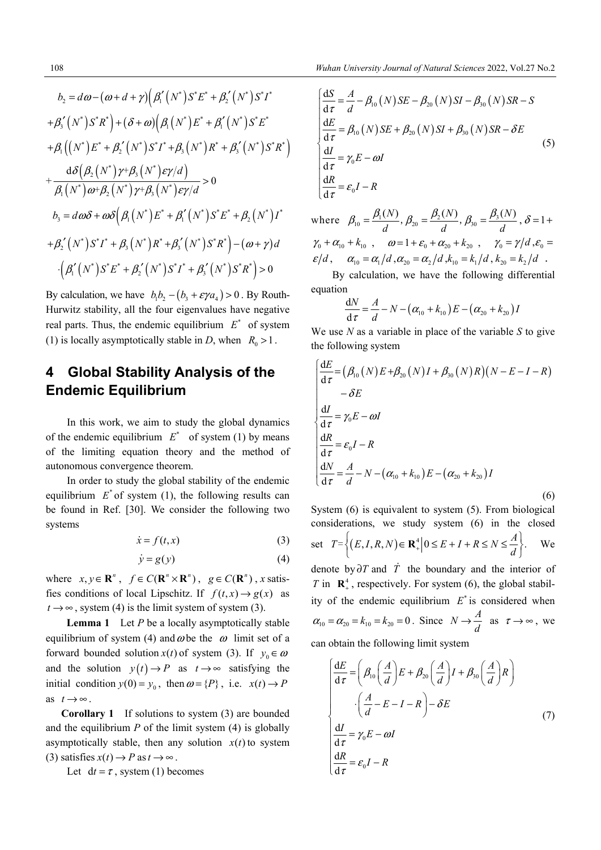$$
b_2 = d\omega - (\omega + d + \gamma) \Big( \beta_1' (N^*) S^* E^* + \beta_2' (N^*) S^* I^* + \beta_3' (N^*) S^* R^* \Big) + (\delta + \omega) \Big( \beta_1 (N^*) E^* + \beta_1' (N^*) S^* E^* + \beta_1 (N^*) E^* + \beta_2' (N^*) S^* I^* + \beta_3 (N^*) R^* + \beta_3' (N^*) S^* R^* \Big)
$$
  
+ 
$$
\frac{d\delta(\beta_2 (N^*) \gamma + \beta_3 (N^*) \epsilon \gamma/d)}{\beta_1 (N^*) \omega + \beta_2 (N^*) \gamma + \beta_3 (N^*) \epsilon \gamma/d} > 0
$$
  

$$
b_3 = d\omega \delta + \omega \delta(\beta_1 (N^*) E^* + \beta_1' (N^*) S^* E^* + \beta_2 (N^*) I^* + \beta_2' (N^*) S^* I^* + \beta_3 (N^*) S^* R^* \Big) - (\omega + \gamma) d
$$
  
- 
$$
(\beta_1' (N^*) S^* E^* + \beta_2' (N^*) S^* I^* + \beta_3' (N^*) S^* R^* \Big) > 0
$$

By calculation, we have  $b_1b_2 - (b_3 + \varepsilon \gamma a_4) > 0$ . By Routh-Hurwitz stability, all the four eigenvalues have negative real parts. Thus, the endemic equilibrium  $E^*$  of system (1) is locally asymptotically stable in *D*, when  $R_0 > 1$ .

## **4 Global Stability Analysis of the Endemic Equilibrium**

In this work, we aim to study the global dynamics of the endemic equilibrium  $E^*$  of system (1) by means of the limiting equation theory and the method of autonomous convergence theorem.

In order to study the global stability of the endemic equilibrium  $E^*$  of system (1), the following results can be found in Ref. [30]. We consider the following two systems

$$
\dot{x} = f(t, x) \tag{3}
$$

$$
\dot{y} = g(y) \tag{4}
$$

where  $x, y \in \mathbb{R}^n$ ,  $f \in C(\mathbb{R}^n \times \mathbb{R}^n)$ ,  $g \in C(\mathbb{R}^n)$ , *x* satisfies conditions of local Lipschitz. If  $f(t, x) \rightarrow g(x)$  as  $t \rightarrow \infty$ , system (4) is the limit system of system (3).

**Lemma 1** Let *P* be a locally asymptotically stable equilibrium of system (4) and  $\omega$  be the  $\omega$  limit set of a forward bounded solution  $x(t)$  of system (3). If  $y_0 \in \omega$ and the solution  $y(t) \rightarrow P$  as  $t \rightarrow \infty$  satisfying the initial condition  $y(0) = y_0$ , then  $\omega = \{P\}$ , i.e.  $x(t) \rightarrow P$ as  $t \rightarrow \infty$ .

**Corollary 1** If solutions to system (3) are bounded and the equilibrium  $P$  of the limit system  $(4)$  is globally asymptotically stable, then any solution  $x(t)$  to system (3) satisfies  $x(t) \rightarrow P$  as  $t \rightarrow \infty$ .

Let  $dt = \tau$ , system (1) becomes

$$
\begin{cases}\n\frac{dS}{d\tau} = \frac{A}{d} - \beta_{10}(N)SE - \beta_{20}(N)SI - \beta_{30}(N)SR - S \\
\frac{dE}{d\tau} = \beta_{10}(N)SE + \beta_{20}(N)SI + \beta_{30}(N)SR - \delta E \\
\frac{dI}{d\tau} = \gamma_0 E - \omega I \\
\frac{dR}{d\tau} = \varepsilon_0 I - R\n\end{cases}
$$
\n(5)

where  $\beta_{10} = \frac{P_1(Y)}{I}, \beta_{20} = \frac{P_2(Y)}{I}, \beta_{30} = \frac{P_3}{I}$  $(N)$   $\beta$ ,  $(N)$   $\beta$ ,  $(\beta)$  $\beta_{10} = \frac{\beta_1(N)}{d}, \beta_{20} = \frac{\beta_2(N)}{d}, \beta_{30} = \frac{\beta_3(N)}{d}, \delta = 1 +$  $\gamma_0 + \alpha_{10} + k_{10}$ ,  $\omega = 1 + \varepsilon_0 + \alpha_{20} + k_{20}$ ,  $\gamma_0 = \gamma/d$ ,  $\varepsilon_0 =$  $\varepsilon/d$ ,  $\alpha_{10} = \alpha_1/d$ ,  $\alpha_{20} = \alpha_2/d$ ,  $k_{10} = k_1/d$ ,  $k_{20} = k_2/d$ .

By calculation, we have the following differential equation

$$
\frac{dN}{d\tau} = \frac{A}{d} - N - (\alpha_{10} + k_{10})E - (\alpha_{20} + k_{20})I
$$

We use *N* as a variable in place of the variable *S* to give the following system

$$
\begin{cases}\n\frac{dE}{d\tau} = \left(\beta_{10}(N)E + \beta_{20}(N)I + \beta_{30}(N)R\right)(N - E - I - R) \\
-\delta E \\
\frac{dI}{d\tau} = \gamma_0 E - \omega I \\
\frac{dR}{d\tau} = \varepsilon_0 I - R \\
\frac{dN}{d\tau} = \frac{A}{d} - N - (\alpha_{10} + k_{10})E - (\alpha_{20} + k_{20})I\n\end{cases}
$$
\n(6)

System (6) is equivalent to system (5). From biological considerations, we study system (6) in the closed set  $T = \left\{ (E, I, R, N) \in \mathbf{R}_+^4 \middle| 0 \le E + I + R \le N \le \frac{A}{d} \right\}.$  We

denote by  $\partial T$  and  $\dot{T}$  the boundary and the interior of *T* in  $\mathbb{R}^4$ , respectively. For system (6), the global stability of the endemic equilibrium  $E^*$  is considered when  $\alpha_{10} = \alpha_{20} = k_{10} = k_{20} = 0$ . Since  $N \rightarrow \frac{A}{d}$  as  $\tau \rightarrow \infty$ , we

can obtain the following limit system

$$
\begin{cases}\n\frac{dE}{d\tau} = \left(\beta_{10}\left(\frac{A}{d}\right)E + \beta_{20}\left(\frac{A}{d}\right)I + \beta_{30}\left(\frac{A}{d}\right)R\right) \\
\cdot \left(\frac{A}{d} - E - I - R\right) - \delta E \\
\frac{dI}{d\tau} = \gamma_0 E - \omega I \\
\frac{dR}{d\tau} = \varepsilon_0 I - R\n\end{cases} (7)
$$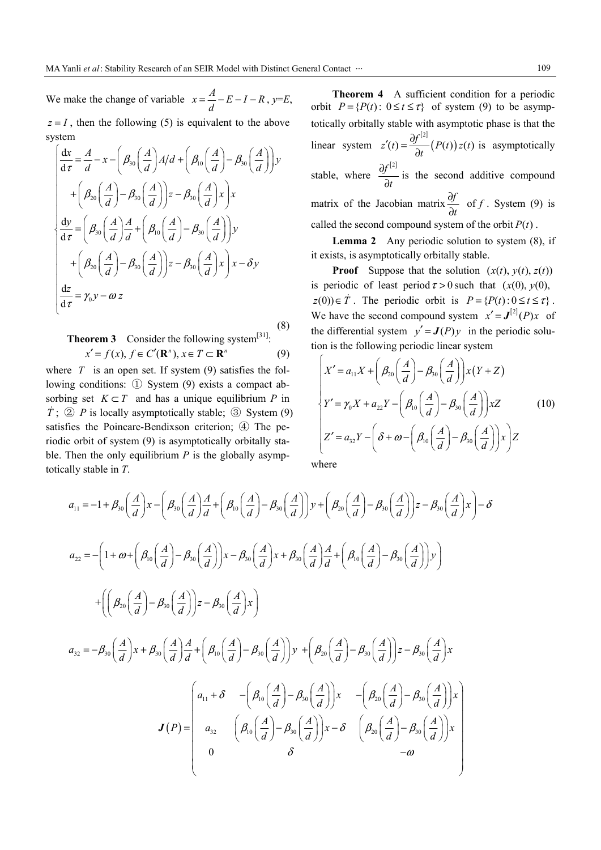We make the change of variable  $x = \frac{A}{d} - E - I - R$ ,  $y=E$ ,  $z = I$ , then the following (5) is equivalent to the above

system 30  $\frac{1}{1}$   $\frac{1}{2}$   $\frac{1}{4}$   $\frac{1}{4}$   $\frac{1}{1}$   $\frac{1}{2}$   $\frac{1}{1}$   $\frac{1}{2}$   $\frac{1}{2}$   $\frac{1}{2}$   $\frac{1}{2}$   $\frac{1}{2}$   $\frac{1}{2}$   $\frac{1}{2}$   $\frac{1}{2}$   $\frac{1}{2}$   $\frac{1}{2}$   $\frac{1}{2}$   $\frac{1}{2}$   $\frac{1}{2}$   $\frac{1}{2}$   $\frac{1}{2}$ 20  $1 \times 730$   $1^2$   $7^30$ 30  $\frac{1}{1}$   $\frac{1}{1}$   $\frac{1}{1}$   $\frac{1}{1}$   $\frac{1}{1}$   $\frac{1}{1}$   $\frac{1}{1}$   $\frac{1}{1}$   $\frac{1}{1}$   $\frac{1}{1}$   $\frac{1}{1}$   $\frac{1}{1}$ 20  $1 \times 730$   $1^2$   $7^30$ d d d  $\frac{dy}{d\tau} = \left(\beta_{30}\left(\frac{A}{d}\right)\frac{A}{d} + \left(\beta_{10}\left(\frac{A}{d}\right) - \beta_{30}\left(\frac{A}{d}\right)\right)y\right)$  $\frac{x}{\tau} = \frac{A}{d} - x - \left(\beta_{30}\left(\frac{A}{d}\right)A/d + \left(\beta_{10}\left(\frac{A}{d}\right) - \beta_{30}\left(\frac{A}{d}\right)\right)y$  $\mathcal{A}\left(-\beta_{30}\left(\frac{A}{2}\right)\right)z-\beta_{30}\left(\frac{A}{2}\right)x$  $+\left(\beta_{20}\left(\frac{A}{d}\right)-\beta_{30}\left(\frac{A}{d}\right)\right)z-\beta_{30}\left(\frac{A}{d}\right)x\right)$  $\mathcal{A}\left(-\beta_{30}\left(\frac{A}{2}\right)\right)z-\beta_{30}\left(\frac{A}{2}\right)$  $+\left(\beta_{20}\left(\frac{A}{d}\right)-\beta_{30}\left(\frac{A}{d}\right)\right)z-\beta_{30}\left(\frac{A}{d}\right)x\right)x-\delta y$  $=\frac{A}{d}-x-\left(\beta_{30}\left(\frac{A}{d}\right)A/d+\left(\beta_{10}\left(\frac{A}{d}\right)-\beta_{30}\left(\frac{A}{d}\right)\right)\right)$  $=\left(\beta_{30}\left(\frac{A}{d}\right)\frac{A}{d}+\left(\beta_{10}\left(\frac{A}{d}\right)-\beta_{30}\left(\frac{A}{d}\right)\right)\right)$  $\int$  $\left| \right|$  $\left| \right|$  $\left| \right|$  $\left| \right|$  $\left| \right|$  $\left| \right|$  $\overline{ }$ ₹  $\left| \right|$  $\left[ + \left( \beta_{20} \left( \frac{A}{d} \right) - \beta_{30} \left( \frac{A}{d} \right) \right) z - \beta_{30} \left( \frac{A}{d} \right) x \right] x -$ 

d d

 $\overline{\mathfrak{l}}$ 

$$
\left|\frac{dz}{d\tau} = \gamma_0 y - \omega z\right|
$$
\nTheorem 3

\nConsider the following system<sup>[31]</sup>:\n

 $x' = f(x), f \in C'(\mathbf{R}^n), x \in T \subset \mathbf{R}^n$  (9)

where  $T$  is an open set. If system (9) satisfies the following conditions: ① System (9) exists a compact absorbing set  $K \subset T$  and has a unique equilibrium P in  $\dot{T}$ ; ② *P* is locally asymptotically stable; ③ System (9) satisfies the Poincare-Bendixson criterion; 4 The periodic orbit of system (9) is asymptotically orbitally stable. Then the only equilibrium  $P$  is the globally asymptotically stable in *T*.

**Theorem 4** A sufficient condition for a periodic orbit  $P = {P(t): 0 \le t \le \tau}$  of system (9) to be asymptotically orbitally stable with asymptotic phase is that the linear system  $z'(t) = \frac{\partial f^{[2]}}{\partial x}$  $(P(t))$  $z'(t) = \frac{\partial f^{[2]}}{\partial t}(P(t))z(t)$  $t'(t) = \frac{\partial f^{(2)}}{\partial t}(P(t))z(t)$  is asymptotically stable, where  $\frac{\partial f^{[2]}}{\partial x^{j}}$ *t*  $\frac{\partial f^{[2]}}{\partial t}$  is the second additive compound matrix of the Jacobian matrix  $\frac{\partial f}{\partial x}$ *t* ą  $\partial$ of  $f$ . System (9) is called the second compound system of the orbit  $P(t)$ .

**Lemma 2** Any periodic solution to system (8), if it exists, is asymptotically orbitally stable.

**Proof** Suppose that the solution  $(x(t), y(t), z(t))$ is periodic of least period  $\tau > 0$  such that  $(x(0), y(0))$ ,  $z(0)$ )  $\in \dot{T}$ . The periodic orbit is  $P = {P(t): 0 \le t \le \tau}$ . We have the second compound system  $x' = J^{[2]}(P)x$  of the differential system  $y' = J(P)y$  in the periodic solution is the following periodic linear system

$$
\begin{cases}\nX' = a_{11}X + \left(\beta_{20}\left(\frac{A}{d}\right) - \beta_{30}\left(\frac{A}{d}\right)\right)x(Y+Z) \\
Y' = \gamma_0X + a_{22}Y - \left(\beta_{10}\left(\frac{A}{d}\right) - \beta_{30}\left(\frac{A}{d}\right)\right)xZ \\
Z' = a_{32}Y - \left(\delta + \omega - \left(\beta_{10}\left(\frac{A}{d}\right) - \beta_{30}\left(\frac{A}{d}\right)\right)x\right)Z\n\end{cases} (10)
$$

where

$$
a_{11} = -1 + \beta_{30} \left( \frac{A}{d} \right) x - \left( \beta_{30} \left( \frac{A}{d} \right) \frac{A}{d} + \left( \beta_{10} \left( \frac{A}{d} \right) - \beta_{30} \left( \frac{A}{d} \right) \right) y + \left( \beta_{20} \left( \frac{A}{d} \right) - \beta_{30} \left( \frac{A}{d} \right) \right) z - \beta_{30} \left( \frac{A}{d} \right) x \right) - \delta
$$
  
\n
$$
a_{22} = -\left( 1 + \omega + \left( \beta_{10} \left( \frac{A}{d} \right) - \beta_{30} \left( \frac{A}{d} \right) \right) x - \beta_{30} \left( \frac{A}{d} \right) x + \beta_{30} \left( \frac{A}{d} \right) \frac{A}{d} + \left( \beta_{10} \left( \frac{A}{d} \right) - \beta_{30} \left( \frac{A}{d} \right) \right) y \right)
$$
  
\n
$$
+ \left( \left( \beta_{20} \left( \frac{A}{d} \right) - \beta_{30} \left( \frac{A}{d} \right) \right) z - \beta_{30} \left( \frac{A}{d} \right) x \right)
$$
  
\n
$$
a_{32} = -\beta_{30} \left( \frac{A}{d} \right) x + \beta_{30} \left( \frac{A}{d} \right) \frac{A}{d} + \left( \beta_{10} \left( \frac{A}{d} \right) - \beta_{30} \left( \frac{A}{d} \right) \right) y + \left( \beta_{20} \left( \frac{A}{d} \right) - \beta_{30} \left( \frac{A}{d} \right) \right) z - \beta_{30} \left( \frac{A}{d} \right) x \right)
$$
  
\n
$$
J(P) = \begin{pmatrix} a_{11} + \delta & -\left( \beta_{10} \left( \frac{A}{d} \right) - \beta_{30} \left( \frac{A}{d} \right) \right) x & -\left( \beta_{20} \left( \frac{A}{d} \right) - \beta_{30} \left( \frac{A}{d} \right) \right) x \\ a_{32} & \left( \beta_{1
$$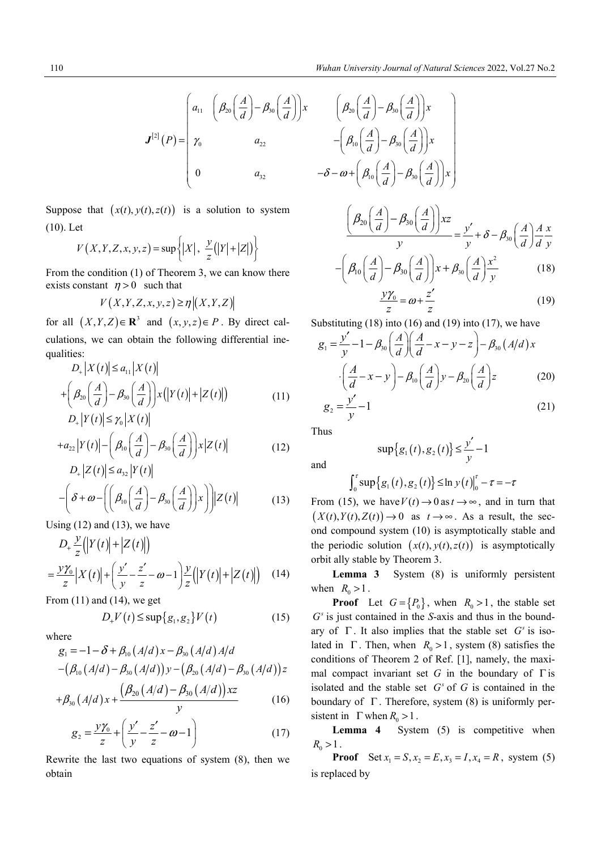$$
\boldsymbol{J}^{[2]}(P) = \begin{pmatrix} a_{11} & \left( \beta_{20} \left( \frac{A}{d} \right) - \beta_{30} \left( \frac{A}{d} \right) \right) x & \left( \beta_{20} \left( \frac{A}{d} \right) - \beta_{30} \left( \frac{A}{d} \right) \right) x \\ \gamma_0 & \alpha_{22} & \gamma_0 \left( \frac{A}{d} \right) - \beta_{30} \left( \frac{A}{d} \right) x \end{pmatrix}
$$
\n
$$
\boldsymbol{J}^{[2]}(P) = \begin{pmatrix} \gamma_0 & \alpha_{22} & \gamma_0 \left( \frac{A}{d} \right) - \beta_{30} \left( \frac{A}{d} \right) x \\ 0 & \alpha_{32} & \gamma_0 \left( \frac{A}{d} \right) - \beta_{30} \left( \frac{A}{d} \right) x \end{pmatrix}
$$

Suppose that  $(x(t), y(t), z(t))$  is a solution to system (10). Let

$$
V(X, Y, Z, x, y, z) = \sup\left\{ |X|, \frac{y}{z} (|Y| + |Z|) \right\}
$$

From the condition (1) of Theorem 3, we can know there exists constant  $\eta > 0$  such that

$$
V(X, Y, Z, x, y, z) \ge \eta | (X, Y, Z) |
$$

for all  $(X, Y, Z) \in \mathbb{R}^3$  and  $(x, y, z) \in P$ . By direct calculations, we can obtain the following differential inequalities:

$$
D_{+}|X(t)| \le a_{11}|X(t)|
$$
  
+ 
$$
\left(\beta_{20}\left(\frac{A}{d}\right) - \beta_{30}\left(\frac{A}{d}\right)\right)x(|Y(t)| + |Z(t)|)
$$
  

$$
D_{+}|Y(t)| \le \gamma_{0}|X(t)|
$$
 (11)

$$
+a_{22}|Y(t)| - \left(\beta_{10}\left(\frac{A}{d}\right) - \beta_{30}\left(\frac{A}{d}\right)\right)x|Z(t)| \qquad (12)
$$

$$
D_{+}|Z(t)| \le a_{32} |Y(t)|
$$
  
 
$$
-\left(\delta + \omega - \left(\left(\beta_{10}\left(\frac{A}{d}\right) - \beta_{30}\left(\frac{A}{d}\right)\right)x\right)\right)|Z(t)| \tag{13}
$$

Using  $(12)$  and  $(13)$ , we have

$$
D_{+} \frac{y}{z} (|Y(t)| + |Z(t)|)
$$
  
= 
$$
\frac{y\gamma_{0}}{z} |X(t)| + \left(\frac{y'}{y} - \frac{z'}{z} - \omega - 1\right) \frac{y}{z} (|Y(t)| + |Z(t)|) \quad (14)
$$

From (11) and (14), we get

$$
D_{+}V(t) \leq \sup\{g_1, g_2\} V(t) \tag{15}
$$

where

$$
g_1 = -1 - \delta + \beta_{10} (A/d) x - \beta_{30} (A/d) A/d
$$
  
-( $\beta_{10} (A/d) - \beta_{30} (A/d)) y - (\beta_{20} (A/d) - \beta_{30} (A/d)) z$ 

$$
+\beta_{30}(A/d) x + \frac{\left(\beta_{20}(A/d) - \beta_{30}(A/d)\right) xz}{y} \tag{16}
$$

$$
g_2 = \frac{y\gamma_0}{z} + \left(\frac{y'}{y} - \frac{z'}{z} - \omega - 1\right)
$$
 (17)

Rewrite the last two equations of system (8), then we obtain

$$
\begin{bmatrix}\na_{11} & \left(\beta_{20}\left(\frac{A}{d}\right) - \beta_{30}\left(\frac{A}{d}\right)\right)x & \left(\beta_{20}\left(\frac{A}{d}\right) - \beta_{30}\left(\frac{A}{d}\right)\right)x \\
\gamma_{0} & a_{22} & -\left(\beta_{10}\left(\frac{A}{d}\right) - \beta_{30}\left(\frac{A}{d}\right)\right)x \\
0 & a_{32} & -\delta - \omega + \left(\beta_{10}\left(\frac{A}{d}\right) - \beta_{30}\left(\frac{A}{d}\right)\right)x\n\end{bmatrix}
$$
\ns a solution to system\n
$$
X|, \frac{y}{z}(|Y| + |Z|)\}
$$
\n
$$
X|, \frac{y}{z}(|Y| + |Z|)\}
$$
\n
$$
= \left(\beta_{10}\left(\frac{A}{d}\right) - \beta_{30}\left(\frac{A}{d}\right)\right)x + \beta_{30}\left(\frac{A}{d}\right)\frac{x^{2}}{y}
$$
\n
$$
= \left(\beta_{10}\left(\frac{A}{d}\right) - \beta_{30}\left(\frac{A}{d}\right)\right)x + \beta_{30}\left(\frac{A}{d}\right)\frac{x^{2}}{y}
$$
\n
$$
= \omega + \frac{z'}{z}
$$
\n(19)

Substituting  $(18)$  into  $(16)$  and  $(19)$  into  $(17)$ , we have

$$
g_1 = \frac{y'}{y} - 1 - \beta_{30} \left(\frac{A}{d}\right) \left(\frac{A}{d} - x - y - z\right) - \beta_{30} \left(A/d\right) x
$$

$$
\cdot \left(\frac{A}{d} - x - y\right) - \beta_{10} \left(\frac{A}{d}\right) y - \beta_{20} \left(\frac{A}{d}\right) z \tag{20}
$$

$$
g_2 = \frac{y'}{x} - 1 \tag{21}
$$

$$
=\frac{y'}{y} - 1\tag{21}
$$

Thus

and

$$
\sup\{g_1(t), g_2(t)\} \leq \frac{y'}{y} - 1
$$

$$
\int_0^{\tau} \sup \{ g_1(t), g_2(t) \} \leq \ln y(t) \Big|_0^{\tau} - \tau = -\tau
$$

From (15), we have  $V(t) \rightarrow 0$  as  $t \rightarrow \infty$ , and in turn that  $(X(t), Y(t), Z(t)) \rightarrow 0$  as  $t \rightarrow \infty$ . As a result, the second compound system (10) is asymptotically stable and the periodic solution  $(x(t), y(t), z(t))$  is asymptotically orbit ally stable by Theorem 3.

**Lemma 3** System (8) is uniformly persistent when  $R_0 > 1$ .

**Proof** Let  $G = \{P_0\}$ , when  $R_0 > 1$ , the stable set  $G<sup>s</sup>$  is just contained in the *S*-axis and thus in the boundary of  $\Gamma$ . It also implies that the stable set  $G<sup>s</sup>$  is isolated in  $\Gamma$ . Then, when  $R_0 > 1$ , system (8) satisfies the conditions of Theorem 2 of Ref. [1], namely, the maximal compact invariant set  $G$  in the boundary of  $\Gamma$  is isolated and the stable set  $G<sup>s</sup>$  of  $G$  is contained in the boundary of  $\Gamma$ . Therefore, system (8) is uniformly persistent in  $\Gamma$  when  $R_0 > 1$ .

Lemma 4 System (5) is competitive when  $R_0 > 1$ .

**Proof** Set  $x_1 = S$ ,  $x_2 = E$ ,  $x_3 = I$ ,  $x_4 = R$ , system (5) is replaced by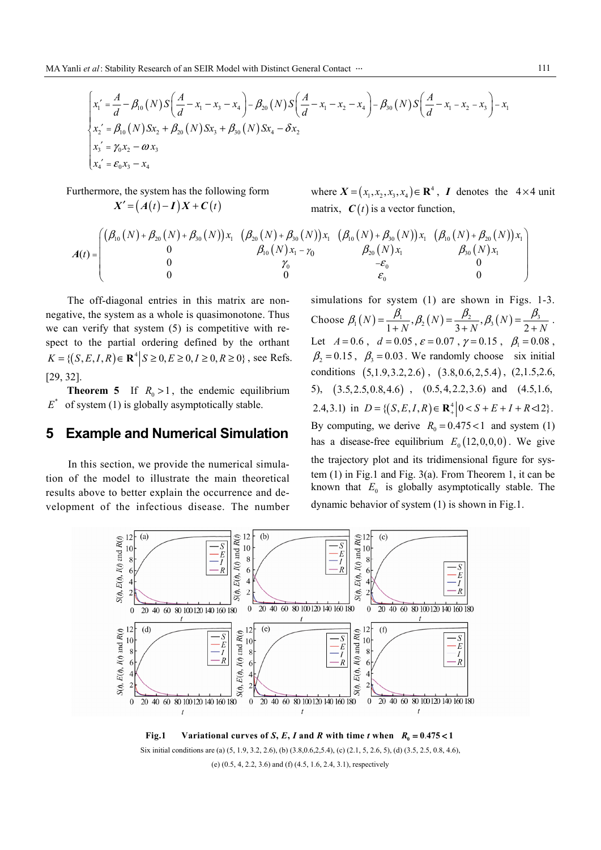$$
\begin{cases}\nx_1' = \frac{A}{d} - \beta_{10}(N)S\left(\frac{A}{d} - x_1 - x_3 - x_4\right) - \beta_{20}(N)S\left(\frac{A}{d} - x_1 - x_2 - x_4\right) - \beta_{30}(N)S\left(\frac{A}{d} - x_1 - x_2 - x_3\right) - x_1 \\
x_2' = \beta_{10}(N)Sx_2 + \beta_{20}(N)Sx_3 + \beta_{30}(N)Sx_4 - \delta x_2 \\
x_3' = \gamma_0 x_2 - \omega x_3 \\
x_4' = \varepsilon_0 x_3 - x_4\n\end{cases}
$$

Furthermore, the system has the following form  $X' = (A(t) - I)X + C(t)$ 

where  $X = (x_1, x_2, x_3, x_4) \in \mathbb{R}^4$ , *I* denotes the  $4 \times 4$  unit matrix,  $C(t)$  is a vector function,

$$
A(t)=\begin{pmatrix} \left(\beta_{10}(N)+\beta_{20}(N)+\beta_{30}(N)\right)x_1 & \left(\beta_{20}(N)+\beta_{30}(N)\right)x_1 & \left(\beta_{10}(N)+\beta_{30}(N)\right)x_1 & \left(\beta_{10}(N)+\beta_{20}(N)\right)x_1 \\ 0 & \beta_{10}(N)x_1-\gamma_0 & \beta_{20}(N)x_1 & \beta_{30}(N)x_1 \\ 0 & \gamma_0 & -\epsilon_0 & 0 \\ 0 & 0 & \epsilon_0 & 0 \end{pmatrix}
$$

The off-diagonal entries in this matrix are nonnegative, the system as a whole is quasimonotone. Thus we can verify that system (5) is competitive with respect to the partial ordering defined by the orthant  $K = \{(S, E, I, R) \in \mathbb{R}^4 \mid S \ge 0, E \ge 0, I \ge 0, R \ge 0\}$ , see Refs. [29, 32].

**Theorem 5** If  $R_0 > 1$ , the endemic equilibrium  $E^*$  of system (1) is globally asymptotically stable.

#### **5 Example and Numerical Simulation**

In this section, we provide the numerical simulation of the model to illustrate the main theoretical results above to better explain the occurrence and development of the infectious disease. The number

simulations for system (1) are shown in Figs. 1-3. Choose  $\beta_1(N) = \frac{p_1}{1+N}, \beta_2(N) = \frac{p_2}{3+N}, \beta_3(N) = \frac{p_3}{2+N}$  $\beta_1(N) = \frac{\beta_1}{1+N}, \beta_2(N) = \frac{\beta_2}{3+N}, \beta_3(N) = \frac{\beta_3}{2+N}.$ Let  $A = 0.6$ ,  $d = 0.05$ ,  $\varepsilon = 0.07$ ,  $\gamma = 0.15$ ,  $\beta_1 = 0.08$ ,  $\beta_2 = 0.15$ ,  $\beta_3 = 0.03$ . We randomly choose six initial conditions  $(5,1.9,3.2,2.6)$ ,  $(3.8,0.6,2,5.4)$ ,  $(2,1.5,2.6,$ 5),  $(3.5, 2.5, 0.8, 4.6)$ ,  $(0.5, 4, 2.2, 3.6)$  and  $(4.5, 1.6, 1.6, 1.6, 1.6, 1.6, 1.6)$ 2.4,3.1) in  $D = \{(S, E, I, R) \in \mathbb{R}_+^4 \mid 0 < S + E + I + R < 12\}.$ By computing, we derive  $R_0 = 0.475 < 1$  and system (1) has a disease-free equilibrium  $E_0(12,0,0,0)$ . We give the trajectory plot and its tridimensional figure for system (1) in Fig.1 and Fig. 3(a). From Theorem 1, it can be known that  $E_0$  is globally asymptotically stable. The dynamic behavior of system (1) is shown in Fig.1.



**Fig.1** Variational curves of *S*, *E*, *I* and *R* with time *t* when  $R_0 = 0.475 < 1$ Six initial conditions are (a) (5, 1.9, 3.2, 2.6), (b) (3.8,0.6,2,5.4), (c) (2.1, 5, 2.6, 5), (d) (3.5, 2.5, 0.8, 4.6), (e) (0.5, 4, 2.2, 3.6) and (f) (4.5, 1.6, 2.4, 3.1), respectively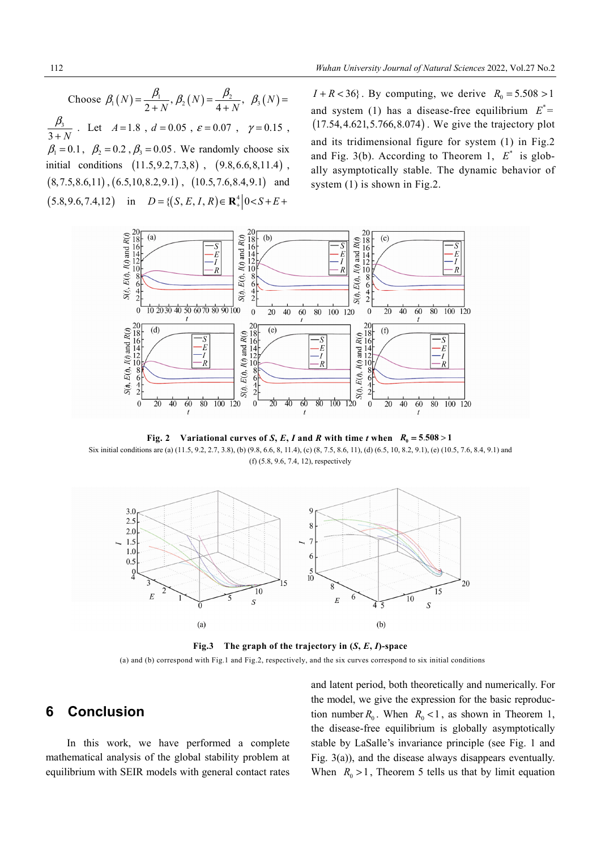Choose  $\beta_1(N) = \frac{p_1}{2+N}, \beta_2(N) = \frac{p_2}{4+N}$ ,  $\beta_1(N) = \frac{\beta_1}{2+N}, \beta_2(N) = \frac{\beta_2}{4+N}, \ \beta_3(N) =$ 3  $3 + N$  $\beta_{\scriptscriptstyle 3}$  $\ddot{}$ . Let  $A=1.8$ ,  $d=0.05$ ,  $\varepsilon=0.07$ ,  $\gamma=0.15$ ,  $\beta_1 = 0.1$ ,  $\beta_2 = 0.2$ ,  $\beta_3 = 0.05$ . We randomly choose six initial conditions  $(11.5, 9.2, 7.3, 8)$ ,  $(9.8, 6.6, 8, 11.4)$ ,  $(8,7.5,8.6,11)$ ,  $(6.5,10,8.2,9.1)$ ,  $(10.5,7.6,8.4,9.1)$  and  $(5.8, 9.6, 7.4, 12)$  in  $D = \{(S, E, I, R) \in \mathbb{R}^4 \mid 0 < S + E +$ 

 $I + R < 36$ . By computing, we derive  $R_0 = 5.508 > 1$ and system (1) has a disease-free equilibrium  $E^*$  =  $(17.54, 4.621, 5.766, 8.074)$ . We give the trajectory plot and its tridimensional figure for system (1) in Fig.2 and Fig. 3(b). According to Theorem 1,  $E^*$  is globally asymptotically stable. The dynamic behavior of system (1) is shown in Fig.2.



**Fig. 2** Variational curves of *S*, *E*, *I* and *R* with time *t* when  $R_0 = 5.508 > 1$ Six initial conditions are (a) (11.5, 9.2, 2.7, 3.8), (b) (9.8, 6.6, 8, 11.4), (c) (8, 7.5, 8.6, 11), (d) (6.5, 10, 8.2, 9.1), (e) (10.5, 7.6, 8.4, 9.1) and (f) (5.8, 9.6, 7.4, 12), respectively



**Fig.3** The graph of the trajectory in  $(S, E, I)$ -space (a) and (b) correspond with Fig.1 and Fig.2, respectively, and the six curves correspond to six initial conditions

### **6 Conclusion**

In this work, we have performed a complete mathematical analysis of the global stability problem at equilibrium with SEIR models with general contact rates and latent period, both theoretically and numerically. For the model, we give the expression for the basic reproduction number  $R_0$ . When  $R_0 < 1$ , as shown in Theorem 1, the disease-free equilibrium is globally asymptotically stable by LaSalle's invariance principle (see Fig. 1 and Fig. 3(a)), and the disease always disappears eventually. When  $R_0 > 1$ , Theorem 5 tells us that by limit equation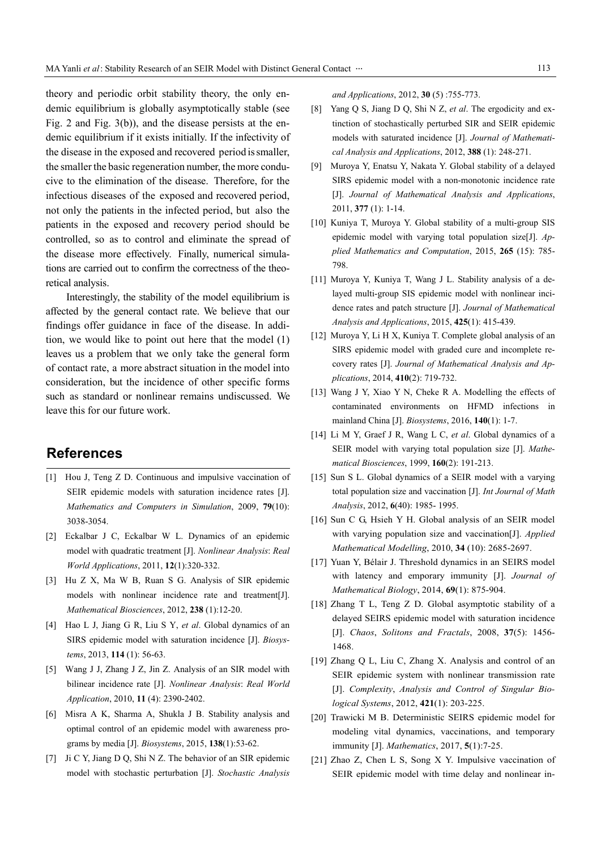theory and periodic orbit stability theory, the only endemic equilibrium is globally asymptotically stable (see Fig. 2 and Fig. 3(b)), and the disease persists at the endemic equilibrium if it exists initially. If the infectivity of the disease in the exposed and recovered period is smaller, the smaller the basic regeneration number, the more conducive to the elimination of the disease. Therefore, for the infectious diseases of the exposed and recovered period, not only the patients in the infected period, but also the patients in the exposed and recovery period should be controlled, so as to control and eliminate the spread of the disease more effectively. Finally, numerical simulations are carried out to confirm the correctness of the theoretical analysis.

Interestingly, the stability of the model equilibrium is affected by the general contact rate. We believe that our findings offer guidance in face of the disease. In addition, we would like to point out here that the model (1) leaves us a problem that we only take the general form of contact rate, a more abstract situation in the model into consideration, but the incidence of other specific forms such as standard or nonlinear remains undiscussed. We leave this for our future work.

#### **References**

- [1] Hou J, Teng Z D. Continuous and impulsive vaccination of SEIR epidemic models with saturation incidence rates [J]. *Mathematics and Computers in Simulation*, 2009, **79**(10): 3038-3054.
- [2] Eckalbar J C, Eckalbar W L. Dynamics of an epidemic model with quadratic treatment [J]. *Nonlinear Analysis*: *Real World Applications*, 2011, **12**(1):320-332.
- [3] Hu Z X, Ma W B, Ruan S G. Analysis of SIR epidemic models with nonlinear incidence rate and treatment[J]. *Mathematical Biosciences*, 2012, **238** (1):12-20.
- [4] Hao L J, Jiang G R, Liu S Y, *et al*. Global dynamics of an SIRS epidemic model with saturation incidence [J]. *Biosystems*, 2013, **114** (1): 56-63.
- [5] Wang J J, Zhang J Z, Jin Z. Analysis of an SIR model with bilinear incidence rate [J]. *Nonlinear Analysis*: *Real World Application*, 2010, **11** (4): 2390-2402.
- [6] Misra A K, Sharma A, Shukla J B. Stability analysis and optimal control of an epidemic model with awareness programs by media [J]. *Biosystems*, 2015, **138**(1):53-62.
- [7] Ji C Y, Jiang D Q, Shi N Z. The behavior of an SIR epidemic model with stochastic perturbation [J]. *Stochastic Analysis*

*and Applications*, 2012, **30** (5) :755-773.

- [8] Yang Q S, Jiang D Q, Shi N Z, *et al*. The ergodicity and extinction of stochastically perturbed SIR and SEIR epidemic models with saturated incidence [J]. *Journal of Mathematical Analysis and Applications*, 2012, **388** (1): 248-271.
- [9] Muroya Y, Enatsu Y, Nakata Y. Global stability of a delayed SIRS epidemic model with a non-monotonic incidence rate [J]. *Journal of Mathematical Analysis and Applications*, 2011, **377** (1): 1-14.
- [10] Kuniya T, Muroya Y. Global stability of a multi-group SIS epidemic model with varying total population size[J]. *Applied Mathematics and Computation*, 2015, **265** (15): 785- 798.
- [11] Muroya Y, Kuniya T, Wang J L. Stability analysis of a delayed multi-group SIS epidemic model with nonlinear incidence rates and patch structure [J]. *Journal of Mathematical Analysis and Applications*, 2015, **425**(1): 415-439.
- [12] Muroya Y, Li H X, Kuniya T. Complete global analysis of an SIRS epidemic model with graded cure and incomplete recovery rates [J]. *Journal of Mathematical Analysis and Applications*, 2014, **410**(2): 719-732.
- [13] Wang J Y, Xiao Y N, Cheke R A. Modelling the effects of contaminated environments on HFMD infections in mainland China [J]. *Biosystems*, 2016, **140**(1): 1-7.
- [14] Li M Y, Graef J R, Wang L C, *et al*. Global dynamics of a SEIR model with varying total population size [J]. *Mathematical Biosciences*, 1999, **160**(2): 191-213.
- [15] Sun S L. Global dynamics of a SEIR model with a varying total population size and vaccination [J]. *Int Journal of Math Analysis*, 2012, **6**(40): 1985- 1995.
- [16] Sun C G, Hsieh Y H. Global analysis of an SEIR model with varying population size and vaccination[J]. *Applied Mathematical Modelling*, 2010, **34** (10): 2685-2697.
- [17] Yuan Y, Bélair J. Threshold dynamics in an SEIRS model with latency and emporary immunity [J]. *Journal of Mathematical Biology*, 2014, **69**(1): 875-904.
- [18] Zhang T L, Teng Z D. Global asymptotic stability of a delayed SEIRS epidemic model with saturation incidence [J]. *Chaos*, *Solitons and Fractals*, 2008, **37**(5): 1456- 1468.
- [19] Zhang Q L, Liu C, Zhang X. Analysis and control of an SEIR epidemic system with nonlinear transmission rate [J]. *Complexity*, *Analysis and Control of Singular Biological Systems*, 2012, **421**(1): 203-225.
- [20] Trawicki M B. Deterministic SEIRS epidemic model for modeling vital dynamics, vaccinations, and temporary immunity [J]. *Mathematics*, 2017, **5**(1):7-25.
- [21] Zhao Z, Chen L S, Song X Y. Impulsive vaccination of SEIR epidemic model with time delay and nonlinear in-